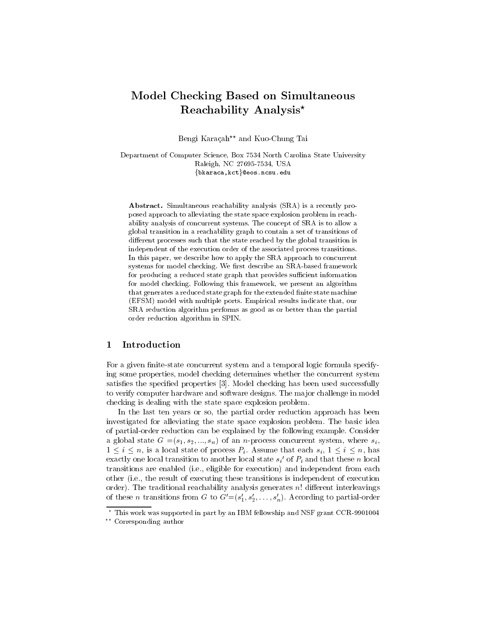# Model Checking Based on Simultaneous Reachability Analysis?

Bengi Karaçalı<sup>\*\*</sup> and Kuo-Chung Tai

Department of Computer Science, Box 7534 North Carolina State University Raleigh, NC 27695-7534, USA {bkaraca, kct}@eos.ncsu.edu

Abstract. Simultaneous reachability analysis (SRA) is a recently proposed approach to alleviating the state space explosion problem in reachability analysis of concurrent systems. The concept of SRA is to allow a global transition in a reachability graph to contain a set of transitions of different processes such that the state reached by the global transition is independent of the execution order of the associated process transitions. In this paper, we describe how to apply the SRA approach to concurrent systems for model checking. We first describe an SRA-based framework for producing a reduced state graph that provides sufficient information for model checking. Following this framework, we present an algorithm that generates a reduced state graph for the extended finite state machine (EFSM) model with multiple ports. Empirical results indicate that, our SRA reduction algorithm performs as good as or better than the partial order reduction algorithm in SPIN.

## 1 Introduction

For a given finite-state concurrent system and a temporal logic formula specifying some properties, model checking determines whether the concurrent system satisfies the specified properties [3]. Model checking has been used successfully to verify computer hardware and software designs. The major challenge in model checking is dealing with the state space explosion problem.

In the last ten years or so, the partial order reduction approach has been investigated for alleviating the state space explosion problem. The basic idea of partial-order reduction can be explained by the following example. Consider a global state G  $\sim$  (s1; s2; ::; s1; so and if process concurrent system, where si , where  $\sim$  ,  $\sim$  $\tau$  is a local state of process  $\tau$  . Assume that each since  $\tau$  ,  $\tau$  ,  $\tau$  ,  $\tau$  ,  $\tau$  ,  $\tau$  ,  $\tau$ exactly one local transition to another local state  $s_i\;$  of  $P_i$  and that these  $n$  local transitions are enabled (i.e., eligible for execution) and independent from each other (i.e., the result of executing these transitions is independent of execution order). The traditional reachability analysis generates  $n!$  different interleavings of these *n* transitions from G to  $G = (0, 0, 0, 0, \ldots, 0, n)$ . According to partial-order

<sup>?</sup> This work was supported in part by an IBM fellowship and NSF grant CCR-9901004

<sup>??</sup> Corresponding author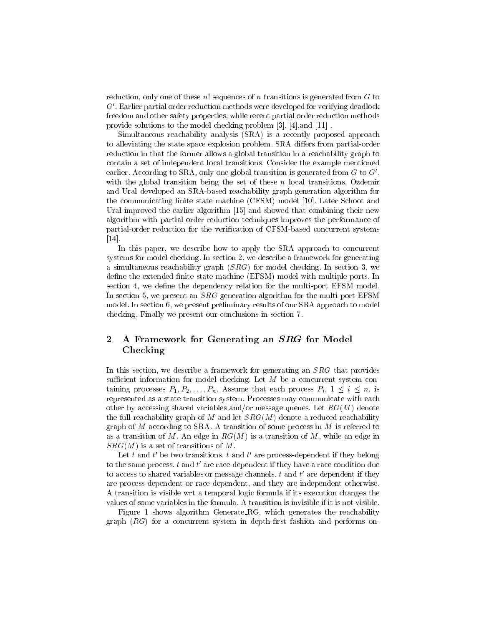reduction, only one of these  $n!$  sequences of n transitions is generated from  $G$  to  $G'$ . Earlier partial order reduction methods were developed for verifying deadlock freedom and other safety properties, while recent partial order reduction methods provide solutions to the model checking problem [3], [4],and [11] .

Simultaneous reachability analysis (SRA) is a recently proposed approach to alleviating the state space explosion problem. SRA differs from partial-order reduction in that the former allows a global transition in a reachability graph to contain a set of independent local transitions. Consider the example mentioned earlier. According to SRA, only one global transition is generated from  $G$  to  $G'$ , with the global transition being the set of these n local transitions. Ozdemir and Ural developed an SRA-based reachability graph generation algorithm for the communicating finite state machine (CFSM) model [10]. Later Schoot and Ural improved the earlier algorithm [15] and showed that combining their new algorithm with partial order reduction techniques improves the performance of partial-order reduction for the verification of CFSM-based concurrent systems [14].

In this paper, we describe how to apply the SRA approach to concurrent systems for model checking. In section 2, we describe a framework for generating a simultaneous reachability graph  $(SRG)$  for model checking. In section 3, we define the extended finite state machine (EFSM) model with multiple ports. In section 4, we define the dependency relation for the multi-port EFSM model. In section 5, we present an *SRG* generation algorithm for the multi-port EFSM model. In section 6, we present preliminary results of our SRA approach to model checking. Finally we present our conclusions in section 7.

## 2 A Framework for Generating an SRG for Model Checking

In this section, we describe a framework for generating an *SRG* that provides sufficient information for model checking. Let  $M$  be a concurrent system conthat processes  $P_1$ ; Passima that each process Pi , is not in  $P_2$  , is in  $P_3$  , is in  $P_4$  , is in  $P_5$  , is in  $P_6$  , is in  $P_7$  , is in the process Pi , is in the process Pi , is in the process Pi , is in the p represented as a state transition system. Processes may communicate with each other by accessing shared variables and/or message queues. Let  $RG(M)$  denote the full reachability graph of M and let  $SRG(M)$  denote a reduced reachability graph of M according to SRA. A transition of some process in  $M$  is referred to as a transition of M. An edge in  $RG(M)$  is a transition of M, while an edge in  $SRG(M)$  is a set of transitions of M.

Let t and t be two transitions. T and t are process-dependent if they belong to the same process.  $\iota$  and  $\iota$  are race-dependent if they have a race condition due to access to shared variables or message channels.  $\iota$  and  $\iota$  are dependent if they are process-dependent or race-dependent, and they are independent otherwise. A transition is visible wrt a temporal logic formula if its execution changes the values of some variables in the formula. A transition is invisible if it is not visible.

Figure 1 shows algorithm Generate RG, which generates the reachability graph  $(RG)$  for a concurrent system in depth-first fashion and performs on-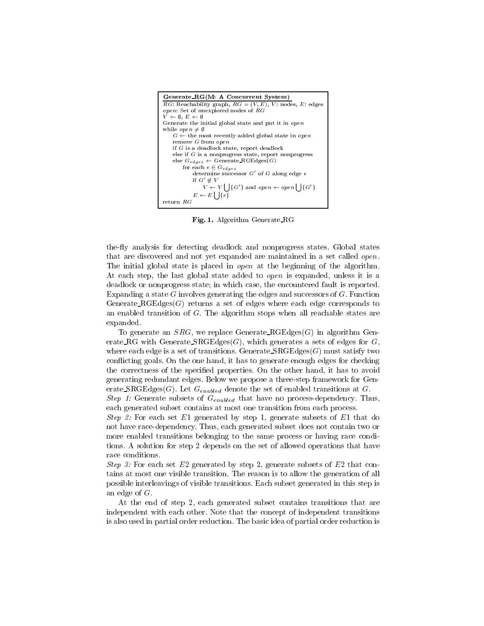

Fig. 1. Algorithm Generate RG

the-fly analysis for detecting deadlock and nonprogress states. Global states that are discovered and not yet expanded are maintained in a set called open. The initial global state is placed in *open* at the beginning of the algorithm. At each step, the last global state added to open is expanded, unless it is a deadlock or nonprogress state; in which case, the encountered fault is reported. Expanding a state  $G$  involves generating the edges and successors of  $G$ . Function Generate  $RGEdges(G)$  returns a set of edges where each edge corresponds to an enabled transition of G. The algorithm stops when all reachable states are expanded.

To generate an  $SRG$ , we replace Generate  $RGEdges(G)$  in algorithm Generate RG with Generate  $SRGEdges(G)$ , which generates a sets of edges for G, where each edge is a set of transitions. Generate  $\operatorname{SRGE}$ dges $(G)$  must satisfy two con
icting goals. On the one hand, it has to generate enough edges for checking the correctness of the specied properties. On the other hand, it has to avoid generating redundant edges. Below we propose a three-step framework for Generate SRGEdges (G). Let  $\mathcal{S}$  be set of enabled transitions at G. at G. at G. at G. at G. at G. at G. at G. at G. at G. at G. at G. at G. at G. at G. at G. at G. at G. at G. at G. at G. at G. at G. at G. at G. at G. at

Step 1: Generate subsets of Genabled that have no process-dependency. Thus, each generated subset contains at most one transition from each process.

Step 2: For each set  $E1$  generated by step 1, generate subsets of  $E1$  that do not have race-dependency. Thus, each generated subset does not contain two or more enabled transitions belonging to the same process or having race conditions. A solution for step 2 depends on the set of allowed operations that have race conditions.

Step 3: For each set  $E2$  generated by step 2, generate subsets of  $E2$  that contains at most one visible transition. The reason is to allow the generation of all possible interleavings of visible transitions. Each subset generated in this step is an edge of G.

At the end of step 2, each generated subset contains transitions that are independent with each other. Note that the concept of independent transitions is also used in partial order reduction. The basic idea of partial order reduction is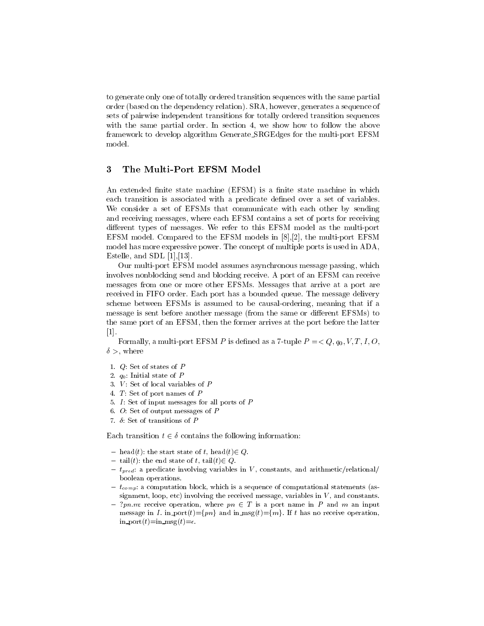to generate only one of totally ordered transition sequences with the same partial order (based on the dependency relation). SRA, however, generates a sequence of sets of pairwise independent transitions for totally ordered transition sequences with the same partial order. In section 4, we show how to follow the above framework to develop algorithm Generate SRGEdges for the multi-port EFSM model.

## 3 The Multi-Port EFSM Model

An extended finite state machine (EFSM) is a finite state machine in which each transition is associated with a predicate defined over a set of variables. We consider a set of EFSMs that communicate with each other by sending and receiving messages, where each EFSM contains a set of ports for receiving different types of messages. We refer to this EFSM model as the multi-port EFSM model. Compared to the EFSM models in [8],[2], the multi-port EFSM model has more expressive power. The concept of multiple ports is used in ADA, Estelle, and SDL [1],[13].

Our multi-port EFSM model assumes asynchronous message passing, which involves nonblocking send and blocking receive. A port of an EFSM can receive messages from one or more other EFSMs. Messages that arrive at a port are received in FIFO order. Each port has a bounded queue. The message delivery scheme between EFSMs is assumed to be causal-ordering, meaning that if a message is sent before another message (from the same or different EFSMs) to the same port of an EFSM, then the former arrives at the port before the latter  $\lceil 1 \rceil$ 

Formally, a multi-port EFSM P is defined as a 7-tuple  $P = \langle Q, q_0, V, T, I, O, \rangle$  $\delta$  >, where

- 1. Q: Set of states of P
- 2.  $q_0$ : Initial state of P
- 3.  $V$ : Set of local variables of  $P$
- 4.  $T: Set of port names of  $P$$
- 5. I : Set of input messages for all ports of P
- 6. O: Set of output messages of P
- 7.  $\delta$ : Set of transitions of P

 $\overline{\phantom{a}}$  . The following information the following information:

- ${}$  head(t): the start state of t, head(t) $\in Q$ .
- ${}$  tail(t): the end state of t, tail(t) $\in Q$ .
- ${t}_{pred}$ : a predicate involving variables in V, constants, and arithmetic/relational/ boolean operations.
- ${t_{comp}}$ : a computation block, which is a sequence of computational statements (assignment, loop, etc) involving the received message, variables in  $V$ , and constants.
- ${\color{red} T}$  . The central proportion, where pn 2 T is a point name in P and m and m and m p and message in I. in port(t)={pn} and in msg(t)={m}. If t has no receive operation, in port $(t)=$ in msg $(t)=\epsilon$ .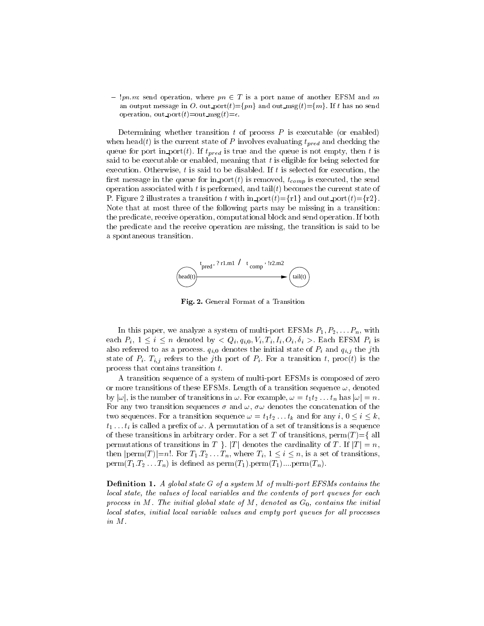${\bf p}$  is a positive properties, where pn 2 T is a point name of another EFSM and measured  ${\bf p}$ an output message in O. out\_port $(t)=\{pn\}$  and out\_msg $(t)=\{m\}$ . If t has no send operation, out port $(t)$ =out msg $(t)$ = $\epsilon$ .

Determining whether transition  $t$  of process  $P$  is executable (or enabled) when the current  $\alpha$  is the current state of P involves evaluating the checking theory is the checking the checking the checking the checking the checking the checking the checking the checking the checking the checking que for the port in port  $\{t\}$ . If the prediction is the state distance is not empty, then the is not empty, said to be executable or enabled, meaning that  $t$  is eligible for being selected for execution. Otherwise,  $t$  is said to be disabled. If  $t$  is selected for execution, the rst message in the message in the total in portfolio in portfolio in portfolio in portfolio in the senade of th operation associated with t is performed, and tail $(t)$  becomes the current state of P. Figure 2 illustrates a transition t with in port(t)={r1} and out port(t)={r2}. Note that at most three of the following parts may be missing in a transition: the predicate, receive operation, computational block and send operation. If both the predicate and the receive operation are missing, the transition is said to be a spontaneous transition.



Fig. 2. General Format of a Transition

In this paper, we analyze a system of multi-port EFSMs  $P_1, P_2, \ldots P_n$ , with each  $P$  ,  $P$  ,  $P$  is the  $P$  supported by  $P$  is the  $P$  supported by  $P$  is the  $P$  supported by  $P$  is the  $P$ also referred to as a process. The initial state of Pi and  $\alpha$  and  $\alpha$  and  $\alpha$  in  $\alpha$ state of Pi  $\mu$  . This is the form of  $\mu$  and point of Pi . For a transition t, proc(t) is the the process that contains transition t.

A transition sequence of a system of multi-port EFSMs is composed of zero or more transitions of these EFSMs. Length of a transition sequence  $\omega$ , denoted by jii, is the number of the number of the number of the number  $\mathbf{r}_1$  ,  $\mathbf{r}_2$  ::: the number of number of  $\mathbf{r}_1$ For any two transition sequences  $\sigma$  and  $\omega$ ,  $\sigma\omega$  denotes the concatenation of the two sequences. For a transition sequence  $\mathbb{P}^1$  ,  $\mathbb{P}^1$  ,  $\mathbb{P}^1$ t is time to the called a present of the called a permutation of the set of the set of the sequence of the set o of these transitions in arbitrary order. For a set T of transitions, perm $(T)=\{$  all permutations of transitions in T }. |T| denotes the cardinality of T. If  $|T| = n$ , then  $|perm(T)|=n!$ . For  $T_1.T_2...T_n$ , where  $T_i, 1 \leq i \leq n$ , is a set of transitions, perm(T1:T2 :::Tn) is dened as perm(T1).perm(T1)....perm(Tn).

**Definition 1.** A global state G of a system M of multi-port EFSMs contains the local state, the values of local variables and the contents of port queues for each process in M. The initial global state of M, denoted as  $G_0$ , contains the initial local states, initial local variable values and empty port queues for all processes in M.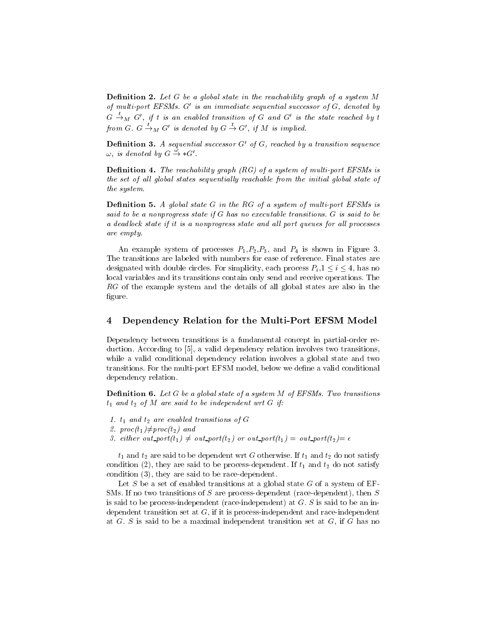**Definition 2.** Let G be a global state in the reachability graph of a system M of multi-port EFSMs.  $G'$  is an immediate sequential successor of  $G$ , denoted by  $G \rightarrow_M G'$ , if t is an enabled transition of G and G' is the state reached by t from G. G  $\rightarrow_M G'$  is denoted by  $G \rightarrow G'$ , if M is implied.

**Definition 3.** A sequential successor  $G'$  of  $G$ , reached by a transition sequence  $\omega$ , is denoted by  $G \stackrel{\omega}{\to} *G'.$ <br>**Definition 4.** The reachability graph (RG) of a system of multi-port EFSMs is

the set of all global states sequentially reachable from the initial global state of the system.

**Definition 5.** A global state  $G$  in the RG of a system of multi-port EFSMs is said to be a nonprogress state if G has no executable transitions. G is said to be a deadlock state if it is a nonprogress state and all port queues for all processes are empty.

An example system of processes P1,P2,P3, and P4 is shown in Figure 3. The transitions are labeled with numbers for ease of reference. Final states are designation of the circles. For simplicity, each process Pi  $\mathbf{r}$  , and  $\mathbf{r}$  , has no control  $\mathbf{r}$  , and  $\mathbf{r}$  , and  $\mathbf{r}$  , and  $\mathbf{r}$  , and  $\mathbf{r}$  , and  $\mathbf{r}$  , and  $\mathbf{r}$  , and  $\mathbf{r}$  , and local variables and its transitions contain only send and receive operations. The  $RG$  of the example system and the details of all global states are also in the figure.

#### 4 Dependency Relation for the Multi-Port EFSM Model  $\overline{\mathbf{4}}$

Dependency between transitions is a fundamental concept in partial-order reduction. According to [5], a valid dependency relation involves two transitions, while a valid conditional dependency relation involves a global state and two transitions. For the multi-port EFSM model, below we define a valid conditional dependency relation.

**Definition 6.** Let  $G$  be a global state of a system  $M$  of EFSMs. Two transitions t and the same independent write  $\mathbf{r}$  of  $\mathbf{r}$  and  $\mathbf{r}$ 

- 1. t1 and t2 are enabled transitions of <sup>G</sup>
- $\overline{P}$  (1)f  $\overline{P}$  and  $\overline{P}$
- $\mathcal{S}$  . either out portfolio for out portfolio for out portfolio for  $\mathcal{S}$  or out portfolio for  $\mathcal{S}$

t1 and t2 are said to be dependent wrt <sup>G</sup> otherwise. If t1 and t2 do not satisfy condition (2), they are said to be process-dependent. If they if they are not satisfy condition (3), they are said to be race-dependent.

Let S be a set of enabled transitions at a global state  $G$  of a system of EF-SMs. If no two transitions of S are process-dependent (race-dependent), then S is said to be process-independent (race-independent) at  $G$ . S is said to be an independent transition set at  $G$ , if it is process-independent and race-independent at  $G. S$  is said to be a maximal independent transition set at  $G$ , if  $G$  has no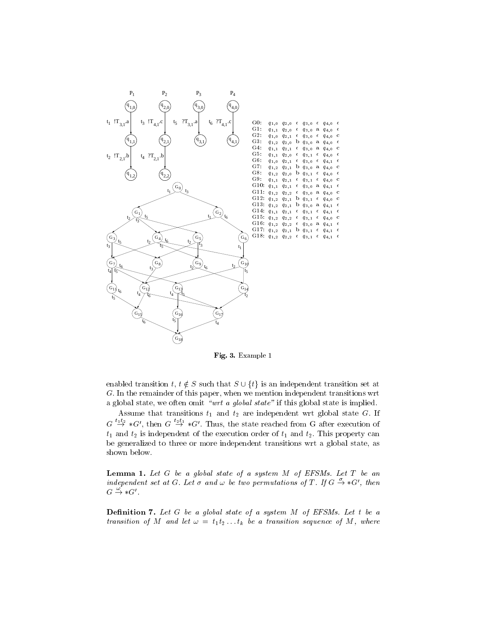

Fig. 3. Example 1

G. In the remainder of this paper, when we mention independent transitions wrt a global state, we often omit "wrt a global state" if this global state is implied. G. In the remainder of this paper, when we mention independent transitions wrt

Assume that transitions the time  $\mathcal{A}$  and independent with global state G. If  $\mathcal{A}$  $G \stackrel{\sim}{\to} \ast G'$ , then  $G \stackrel{\sim}{\to} \ast G'$ . Thus, the state reached from G after execution of t1 and t2 is independent of the execution order of t1 and t2. This property can be generalized to three or more independent transitions wrt a global state, as shown below.

**Lemma 1.** Let  $G$  be a global state of a system  $M$  of EFSMs. Let  $T$  be an independent set at G. Let  $\sigma$  and  $\omega$  be two permutations of T. If  $G \stackrel{\sigma}{\to} *G'$ , then  $G \stackrel{\omega}{\to} *G'$ .

**Definition 7.** Let  $G$  be a global state of a system  $M$  of EFSMs. Let  $t$  be a transition of M and let  $\alpha$  is a time  $\alpha$  in the and  $\alpha$  th and  $\alpha$  the and  $\alpha$  and  $\alpha$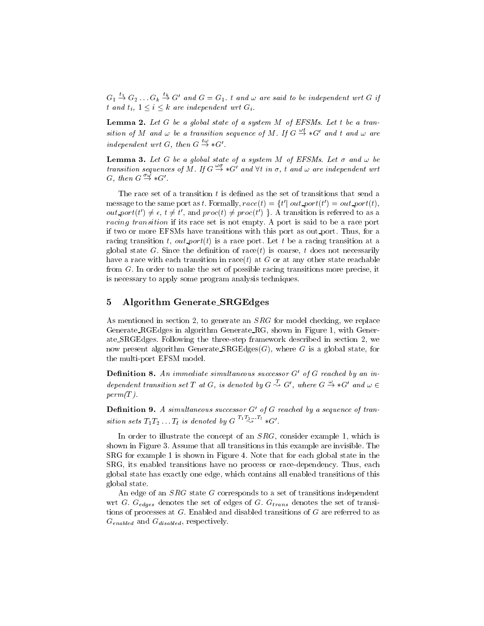$G_1 \stackrel{\sim}{\rightarrow} G_2 \ldots G_k \stackrel{\sim}{\rightarrow} G'$  and  $G = G_1$ . t and  $\omega$  are said to be independent wrt G if  $t \rightarrow t$  , 1 is the independent write write write  $\mathbf{r}$ 

**Lemma 2.** Let  $G$  be a global state of a system  $M$  of EFSMs. Let  $t$  be a transition of M and  $\omega$  be a transition sequence of M. If  $G \stackrel{\omega t}{\rightarrow} *G'$  and t and  $\omega$  are  $\rightarrow$  \*G and t and  $\omega$  are<br>FFSMs Let  $\sigma$  and  $\omega$  be independent wrt G, then  $G \stackrel{t\omega}{\rightarrow} *G'$ .

**Lemma 3.** Let G be a global state of a system M of EFSMs. Let  $\sigma$  and  $\omega$  be<br>transition sequences of M. If  $G \stackrel{\omega}{\to} *G'$  and  $\forall$ t in  $\sigma$ , t and  $\omega$  are independent wrt transition sequences of M. If  $G \stackrel{\omega}{\to} *G'$  and  $\forall t$  in  $\sigma$ , t and  $\omega$  are independent wrt <br>  $G$ , then  $G \stackrel{\sigma\omega}{\to} *G'$ .<br> The race set of a transition t is defined as the set of transitions that send a

G, then  $G \rightharpoonup \rightharpoonup * G'$ .<br>The race set of a transition t is defined as the set of transitions that send a<br>message to the same port as t. Formally,  $race(t) = \{t' | out\_port(t') = out\_port(t),$ message to the same point  $\mathcal{O}_1$  as the same point  $\mathcal{O}_2$  as the function  $\mathcal{O}_1$  and  $\mathcal{O}_2$  are the same point of  $\mathcal{O}_2$  and  $\mathcal{O}_3$  are the same point of  $\mathcal{O}_3$  and  $\mathcal{O}_4$  are the same point of  $\math$  $out\_port(t) \neq \epsilon, t \neq t$ , and  $proc(t) \neq proc(t)$ ; A transition is referred to as a racing transition if its race set is not empty. A port is said to be a race port if two or more EFSMs have transitions with this port as out port. Thus, for a racing transition t, out port $(t)$  is a race port. Let t be a racing transition at a global state G. Since the definition of race(t) is coarse, t does not necessarily have a race with each transition in race(t) at G or at any other state reachable from G. In order to make the set of possible racing transitions more precise, it is necessary to apply some program analysis techniques.

#### $\overline{5}$ Algorithm Generate\_SRGEdges

As mentioned in section 2, to generate an SRG for model checking, we replace Generate RGEdges in algorithm Generate RG, shown in Figure 1, with Generate SRGEdges. Following the three-step framework described in section 2, we now present algorithm Generate  $SRGEdges(G)$ , where G is a global state, for the multi-port EFSM model.

**Definition 8.** An immediate simultaneous successor  $G'$  of  $G$  reached by an independent transition set T at G, is denoted by G  $\sim$  G', where G  $\stackrel{\sim}{\to}$  \*G' and  $\omega \in perm(T)$ .<br>Definition 9. A simultaneous successor G' of G reached by a sequence of tran $perm(T)$ .

sition sets  $T_1T_2 \ldots T_l$  is denoted by  $G^{-1} \stackrel{\sim}{\leadsto} {}^{**} * G'.$ 

In order to illustrate the concept of an SRG, consider example 1, which is shown in Figure 3. Assume that all transitions in this example are invisible. The SRG for example 1 is shown in Figure 4. Note that for each global state in the SRG, its enabled transitions have no process or race-dependency. Thus, each global state has exactly one edge, which contains all enabled transitions of this global state.

An edge of an *SRG* state G corresponds to a set of transitions independent  $\epsilon$  group denotes the set of G. Gtrans denotes the set of transies the set of transies the set of transies the set of transies of transies the set of transies of transies of transies of transies of transies of transies o tions of processes at  $G$ . Enabled and disabled transitions of  $G$  are referred to as  $G$  contribute and  $G$  distributively.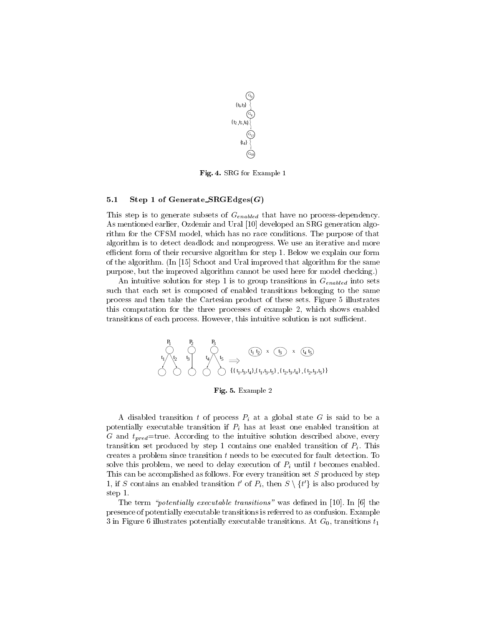

Fig. 4. SRG for Example 1

### 5.1 Step 1 of Generate  $\mathcal{S}RGE$ dges $(G)$

This step is to generate subsets of Genabled that have no process-dependency. As mentioned earlier, Ozdemir and Ural [10] developed an SRG generation algorithm for the CFSM model, which has no race conditions. The purpose of that algorithm is to detect deadlock and nonprogress. We use an iterative and more efficient form of their recursive algorithm for step 1. Below we explain our form of the algorithm. (In [15] Schoot and Ural improved that algorithm for the same purpose, but the improved algorithm cannot be used here for model checking.)

An intuitive solution for step 1 is to group transitions in Genabled into sets such that each set is composed of enabled transitions belonging to the same process and then take the Cartesian product of these sets. Figure 5 illustrates this computation for the three processes of example 2, which shows enabled transitions of each process. However, this intuitive solution is not sufficient.



Fig. 5. Example 2

A disabilition to process Pi at a global state  $P$  is said to be a global state  $P$  is said to be a global state  $P$ potentially executable transition if Pi has at least one enabled transition at G and  $t_{pred}$ =true. According to the intuitive solution described above, every transition set produced by step 1 contains one enabled transition of Pi . This creates a problem since transition  $t$  needs to be executed for fault detection. To solve this problem, we need to delay execution of Pi until <sup>t</sup> becomes enabled. This can be accomplished as follows. For every transition set S produced by step 1, if S contains an enabled transition t of  $P_i$ , then  $S \setminus \{U\}$  is also produced by step 1.

The term "potentially executable transitions" was defined in [10]. In [6] the presence of potentially executable transitions is referred to as confusion. Example 3 in Figure 6 illustrates potentially executable transitions. At  $G_0$ , transitions  $t_1$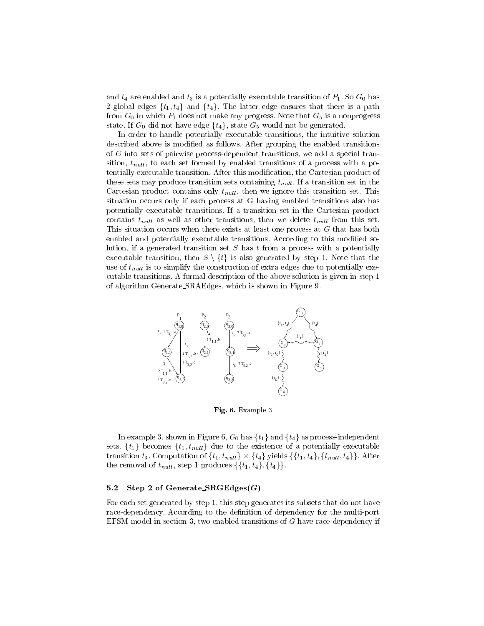and t4 are enabled and that  $\alpha$  is a potentially executed transition of P1. So G0 has so G0  $^{\circ}$  $2$  global edges ft $1$ ; t $4$  and ft $4$  and ft $4$  and the latter ensures that the sures that the mathematical theory from G0 in which P1 does not make any progress. Note that G5 is a nonprogress  $\mathbf{S}$  if  $\mathbf{S}$  of  $\mathbf{F}$  and  $\mathbf{S}$  would not be generated.

In order to handle potentially executable transitions, the intuitive solution described above is modied as follows. After grouping the enabled transitions of G into sets of pairwise process-dependent transitions, we add a special transition, tnull , to each set formed by enabled transitions of a process with a potentially executable transition. After this modification, the Cartesian product of these sets may produce transition sets containing thus  $\sim$  transition sets containing the sets in the sets in the sets in the sets in the sets in the sets in the sets in the sets in the sets in the sets in the sets in th Cartesian product contains only tnull , then we ignore this transition set. This situation occurs only if each process at G having enabled transitions also has potentially executable transitions. If a transition set in the Cartesian product contains the contains the well as other the well as other than we delete the fight the set there we the contain This situation occurs when there exists at least one process at G that has both enabled and potentially executable transitions. According to this modified solution, if a generated transition set  $S$  has  $t$  from a process with a potentially the security is to simplify the construction of extra edges due to potentially executable transitions. A formal description of the above solution is given in step 1. use of thus is to simplify the construction of extra edges due to potentially executable transitions. A formal description of the above solution is given in step 1 of algorithm Generate SRAEdges, which is shown in Figure 9.



Fig. 6. Example 3

In the figure 3, shown in Figure 3, G0 has ft  $(11)$  and ft4g and ft4g and ft4g and ft4g and ft4g and ft4g and ft4g and ft4g and ft4g and ft4g and ft4g and ft4g and ft4g and ft4g and ft4g and ft4g and ft4g and ft4g and ft sets.  $\{t_1\}$  becomes  $\{t_1, t_{null}\}$  due to the existence of a potentially executable  $\sigma$  is the function of function of function of function  $\sigma$  $t_{max}$ ; ftall  $t_{max}$ ; ftall  $t_{min}$ ; ftall  $t_{min}$ ; ftall  $t_{max}$ 

## 5.2 Step 2 of Generate  $SRGE$

For each set generated by step 1, this step generates its subsets that do not have race-dependency. According to the definition of dependency for the multi-port EFSM model in section 3, two enabled transitions of G have race-dependency if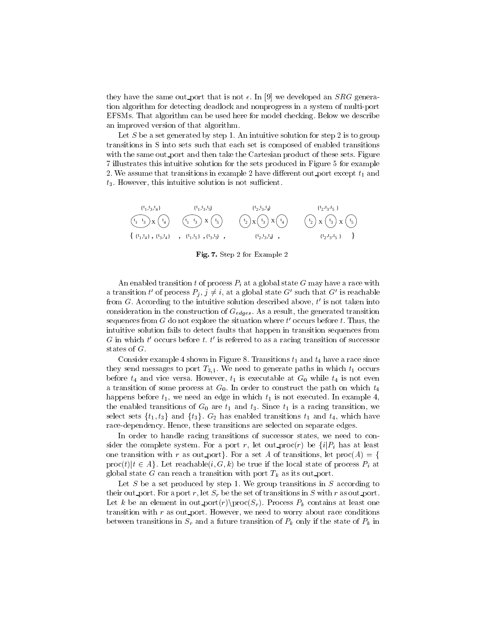they have the same out port that is not  $\epsilon$ . In [9] we developed an SRG generation algorithm for detecting deadlock and nonprogress in a system of multi-port EFSMs. That algorithm can be used here for model checking. Below we describe an improved version of that algorithm.

Let S be a set generated by step 1. An intuitive solution for step 2 is to group transitions in S into sets such that each set is composed of enabled transitions with the same out port and then take the Cartesian product of these sets. Figure 7 illustrates this intuitive solution for the sets produced in Figure 5 for example 2. We assume that transitions in example 2 have dierent out port except t1 and  $t_3$ . However, this intuitive solution is not sufficient.



Fig. 7. Step 2 for Example 2

An enabled transition to process Pi at a global state  $G$  may have a race with  $G$  may have a race with  $G$ a transition t of process  $F_j, j \neq i$ , at a global state G such that G is reachable from  $G$ . According to the intuitive solution described above,  $\iota$  is not taken into consideration in the construction of  $G_{edges}$ . As a result, the generated transition sequences from G do not explore the situation where  $t$  -occurs before  $t$ . Thus, the  $\,$ intuitive solution fails to detect faults that happen in transition sequences from G in which to occurs before t. t is referred to as a racing transition of successor states of G.

Consider example 4 shown in Figure 8. Transitions t1 and t4 have a race since they send messages to port T3;1. We need to generate paths in which t1 occurs before t4 and vice versa. However, t1 is executable at G0 while t4 is not even a transition of some process at  $G_0$ . In order to construct the path on which  $t_4$ happens before t1, we need an edge in which t1 is not executed. In example 4, the enabled transitions of G0 are the G0 are the since the since the since the since the since the since the since the since the since the since the since the since the since the since the since the since the since the si select sets  $\{t_1, t_3\}$  and  $\{t_3\}$ .  $G_2$  has enabled transitions  $t_1$  and  $t_4$ , which have race-dependency. Hence, these transitions are selected on separate edges.

In order to handle racing transitions of successor states, we need to consider the complete system. For a port r, let out proc(r) be  $\{i|P_i\}$  has at least one transition with r as out port}. For a set A of transitions, let  $\text{proc}(A) = \{$  $\text{proc}(t)|t \in A$ . Let reachable $(i, G, k)$  be true if the local state of process  $P_i$  at  $\alpha$  reaches a transition with port  $\alpha$  . The canonical vector port of  $\alpha$  as its out port. The contract of  $\alpha$ 

Let S be a set produced by step 1. We group transitions in S according to their out port. For a port r, let Sr be the set of transitions in <sup>S</sup> with <sup>r</sup> as out port. Let k be an element in out port $(r)\propto(S_r)$ . Process  $P_k$  contains at least one transition with  $r$  as out port. However, we need to worry about race conditions between transitions in Sr  $\mu$  and a future transition of  $\mu$  and  $\mu$  in the state of Pk in  $\mu$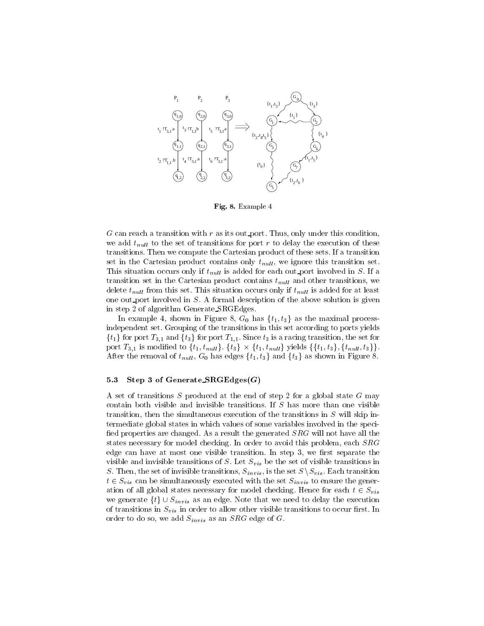

Fig. 8. Example 4

G can reach a transition with  $r$  as its out port. Thus, only under this condition, we add the set of the set of the set of the set of the set of the executions for  $t$ transitions. Then we compute the Cartesian product of these sets. If a transition set in the Cartesian product contains only tnull , we ignore this transition set. This situation of the situation of each out port involved in S. III and involved in S. III and involved in S. III and involved in S. III and involved in S. III and involved in S. III and involved in S. III and involved in transition set in the Cartesian product contains tnull and other transitions, we delete this set the set of the set  $\alpha$  set. This set the situation of the set  $\alpha$  and  $\alpha$  and  $\alpha$  are at least  $\alpha$ one out port involved in  $S$ . A formal description of the above solution is given in step 2 of algorithm Generate SRGEdges.

In the matrix  $\mathbf{Q}$  is the matrix in Figure 8,Google as the matrix  $\mathbf{I}$ independent set. Grouping of the transitions in this set according to ports yields  $\{t_1\}$  for port  $T_{3,1}$  and  $\{t_3\}$  for port  $T_{1,1}$ . Since  $t_3$  is a racing transition, the set for  $\mathbf{r} = \mathbf{r}$ is ft $\mathbf{r} = \mathbf{r}$ is ft $\mathbf{r} = \mathbf{r}$ is ft $\mathbf{r} = \mathbf{r}$ is ft $\mathbf{r} = \mathbf{r}$ is ft $\mathbf{r} = \mathbf{r}$ After the removal of thus  $\theta$  and  $\theta$  and  $\theta$  and  $\theta$  is  $\theta$  and  $\theta$ . This shown in Figure 8.

#### 5.3 Step 3 of Generate  $\operatorname{SRGE}$ dges $(G)$

A set of transitions S produced at the end of step 2 for a global state G may contain both visible and invisible transitions. If  $S$  has more than one visible transition, then the simultaneous execution of the transitions in S will skip intermediate global states in which values of some variables involved in the speci fied properties are changed. As a result the generated  $SRG$  will not have all the states necessary for model checking. In order to avoid this problem, each SRG edge can have at most one visible transition. In step  $3$ , we first separate the visible and invisible transitions of S. Let  $S$  is  $\mathcal{L}_{\text{max}}$  in the set of visible transitions in  $\mathcal{L}_{\text{max}}$  $S$ . The set of invisible transitions, Since  $\alpha$  , Sinvisible transitions, Sinvisible . Each transition  $\alpha$  $t \sim 2$  superious can be simultaneously executed with the set  $s$  invisible to ensure the generation of all global states necessary for model checking. Hence for each the state  $\alpha \in \mathbb{R}^{n \cdot 2}$ we generate  $\{t\} \cup S_{invis}$  as an edge. Note that we need to delay the execution is in  $S_{vis}$  in order to allow other visible transitions to occur first. In o, we add  $S_{invis}$  as an  $SRG$  edge of G.  $\sigma$  transitions in Svis in  $\sigma$  in  $\sigma$  order to occur  $\sigma$  order visible transitions to occur  $\sigma$  $\alpha$  is a solution of  $\alpha$  so, we are an SRG equation of SRG equation ( ) as an SRG equation ( ) and SRG equation ( ) and SRG equation ( ) are an SRG equation ( ) and SRG equation ( ) are an SRG equation ( ) and SRG equat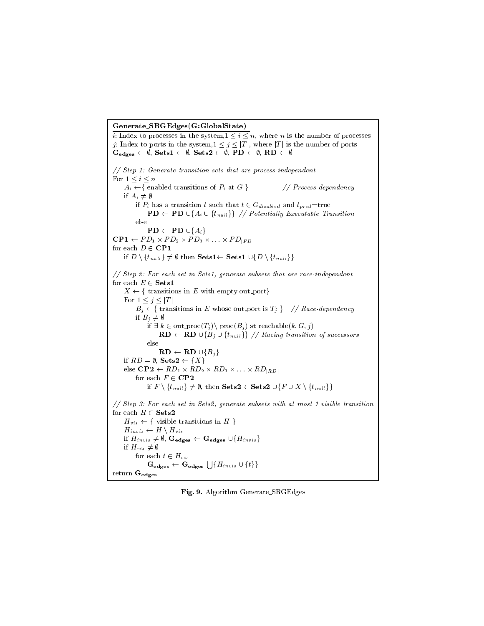Generate SRGEdges(G:GlobalState) i: Index to processes in the system,1 <sup>i</sup> n, where <sup>n</sup> is the number of processes j: Index to ports in the system,  $1 \leq j \leq |T|$ , where |T| is the number of ports  $\overline{\mathbf{y}} = \overline{\mathbf{y}}, \overline{\mathbf{P}} \mathbf{D} \leftarrow \emptyset, \mathbf{RD} \leftarrow \emptyset$  $\mathcal{L} = \mathbf{G} \mathbf{G} \mathbf{G} \mathbf{G} \mathbf{S}$ ;, Sets 2 ;, PD ;, Sets 2 ;, PD ;, Sets 2 ;,  $\mathcal{L} = \{ \mathbf{G} \mathbf{G} \mathbf{G} \mathbf{G} \mathbf{G} \mathbf{G} \mathbf{G} \mathbf{G} \mathbf{G} \mathbf{G} \mathbf{G} \mathbf{G} \mathbf{G} \mathbf{G} \mathbf{G} \mathbf{G} \mathbf{G} \mathbf{G} \mathbf{G} \mathbf{G} \mathbf{G} \$ // Step 1: Generate transition sets that are process-independent For  $1 \leq i \leq n$  <sup>i</sup> <sup>n</sup> Ai f enabled transitions of Pi at  $\frac{1}{2}$  // Process-dependence of Pi at  $\frac{1}{2}$ if  $A_i \neq \emptyset$  $\frac{1}{2}$   $\frac{1}{2}$   $\frac{1}{2}$   $\frac{1}{2}$   $\frac{1}{2}$   $\frac{1}{2}$   $\frac{1}{2}$   $\frac{1}{2}$   $\frac{1}{2}$   $\frac{1}{2}$   $\frac{1}{2}$   $\frac{1}{2}$   $\frac{1}{2}$   $\frac{1}{2}$   $\frac{1}{2}$   $\frac{1}{2}$   $\frac{1}{2}$   $\frac{1}{2}$   $\frac{1}{2}$   $\frac{1}{2}$   $\frac{1}{2}$   $\frac{1}{2}$   $\textbf{PD} \leftarrow \textbf{PD} \cup \{A_i\}$ else PD PD [fAig  $P = P$   $P = P$   $P = P$   $P = P$   $P$   $P$   $P$   $P$   $P$   $P$ for each  $D \in \mathbf{C}P1$ if  $D \setminus \{t_{null}\}\neq \emptyset$  then Sets1 $\leftarrow$  Sets1  $\cup \{D \setminus \{t_{null}\}\}\$  $\frac{1}{\sqrt{2}}$  (for each set in Sets1, generate subsets that are race-independent for each entity of the 2 Sets 1 Sets 1 Sets 1 Sets 1 Sets 1 Sets 1 Sets 1 Sets 1 Sets 1 Sets 1 Sets 1 Sets 1 S  $X \leftarrow \{$  transitions in E with empty out port} For  $1 \leq j \leq |T|$  $\begin{array}{l} \overline{\phantom{m}}^{\phantom{m}} \leftarrow {\rm} \{ \text{ transitions in} \\ B_j \neq \emptyset \end{array}$  $\mathcal{G}$  f transitions in Eq. ( ) is the contract of the contract of the contract of the contract of the contract of the contract of the contract of the contract of the contract of the contract of the contract of the cont if  $B_j \neq \emptyset$ if  $\mathbb{P}$  out the procedure  $\mathbb{P}$  is reachable (kinematic in procedure  $\mathbb{P}$  $\text{R} \mathbf{D} \leftarrow \text{RD} \cup \{B_j\}$  $\mathbf{RD} \leftarrow \mathbf{RD} \cup \{B_j\}$ if  $RD = \emptyset$ , Sets2  $\leftarrow \{X\}$  $\mathbb{R}$   $\mathbb{R}$   $\mathbb{R}$   $\mathbb{R}$   $\mathbb{R}$   $\mathbb{R}$   $\mathbb{R}$   $\mathbb{R}$   $\mathbb{R}$   $\mathbb{R}$   $\mathbb{R}$   $\mathbb{R}$   $\mathbb{R}$   $\mathbb{R}$   $\mathbb{R}$   $\mathbb{R}$   $\mathbb{R}$   $\mathbb{R}$   $\mathbb{R}$   $\mathbb{R}$   $\mathbb{R}$   $\mathbb{R}$   $\mathbb{R}$   $\mathbb{R}$   $\mathbb{$ for each  $F\in \mathbf{CP2}$ if  $F \setminus \{t_{null}\}\neq \emptyset$ , then Sets2  $\leftarrow$  Sets2  $\cup \{F \cup X \setminus \{t_{null}\}\}\$  $\frac{1}{\sqrt{2}}$  (Step 3: For each set in Sets2, generate subsets with at most 1 visible transition for each H 2 Sets2 Sets2 Sets2 Sets2 Sets2 Sets2 Sets2 Sets2 Sets2 Sets2 Sets2 Sets2 Sets2 Sets2 Sets2 Sets2  $H_{vis} \leftarrow \{$  visible transitions in H }  $H_{invis} \leftarrow H \setminus H_{vis}$ if  $H_{invis} \neq \emptyset$ ,  $\mathbf{G}_{\text{edges}} \leftarrow \mathbf{G}_{\text{edges}} \cup \{H_{invis}\}$ if  $H_{vis} \neq \emptyset$ for each  $t \in H_{vis}$  $\mathbf{G_{edges}} \leftarrow \mathbf{G_{edges}} \bigcup \{H_{invis} \cup \{t\}\}\$  $f(x) \sim f(x)$ return Gedges

Fig. 9. Algorithm Generate SRGEdges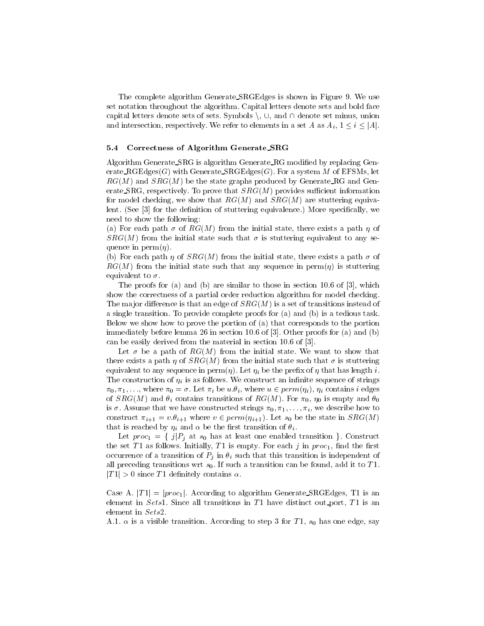The complete algorithm Generate SRGEdges is shown in Figure 9. We use set notation throughout the algorithm. Capital letters denote sets and bold face capital letters denote sets of sets. Symbols  $\setminus$ ,  $\cup$ , and  $\cap$  denote set minus, union and intersection, respectively. We refer to elements in a set A as Ai , 1 <sup>i</sup> jAj.

### 5.4 Correctness of Algorithm Generate SRG

Algorithm Generate SRG is algorithm Generate RG modied by replacing Generate  $\operatorname{RGEdges}(G)$  with Generate  $\operatorname{SRGEdges}(G)$ . For a system M of EFSMs, let  $RG(M)$  and  $SRG(M)$  be the state graphs produced by Generate RG and Generate SRG, respectively. To prove that  $SRG(M)$  provides sufficient information for model checking, we show that  $RG(M)$  and  $SRG(M)$  are stuttering equiva $l$ ent. (See  $\lceil 3 \rceil$  for the definition of stuttering equivalence.) More specifically, we need to show the following:

(a) For each path  $\sigma$  of  $RG(M)$  from the initial state, there exists a path  $\eta$  of  $SRG(M)$  from the initial state such that  $\sigma$  is stuttering equivalent to any sequence in  $\text{perm}(\eta)$ .

(b) For each path  $\eta$  of  $SRG(M)$  from the initial state, there exists a path  $\sigma$  of  $RG(M)$  from the initial state such that any sequence in perm $(\eta)$  is stuttering equivalent to  $\sigma$ .

The proofs for (a) and (b) are similar to those in section 10.6 of [3], which show the correctness of a partial order reduction algorithm for model checking. The major difference is that an edge of  $SRG(M)$  is a set of transitions instead of a single transition. To provide complete proofs for (a) and (b) is a tedious task. Below we show how to prove the portion of (a) that corresponds to the portion immediately before lemma 26 in section 10.6 of [3]. Other proofs for (a) and (b) can be easily derived from the material in section 10.6 of [3].

Let  $\sigma$  be a path of  $RG(M)$  from the initial state. We want to show that there exists a path  $\eta$  of  $SRG(M)$  from the initial state such that  $\sigma$  is stuttering equivalent to any sequence in permitting  $\mu$  , we have presented in  $\mu$  and the present in  $\Delta$  and  $\mu$ The construction of in  $\mathcal{W}$  as follows. We construct and instruction of strings of strings  $\mathcal{W}$  $\alpha$ ; where  $\alpha$  is a subset of  $\alpha$  is a subset of  $\alpha$  , where  $\alpha$  is  $\alpha$  permitted in edges of  $\alpha$ of SRG(M) and i contains transitions of RG(M). For 0, 0 is empty and 0 is . Assume that we have constructed strings 0; 1;:::;i , we describe how to construct in the state is  $\mathcal{L} = \mathcal{L}$ . Let so be the state in SRG(M) is the state in SRG(M) in SRG(M) is the state in SRG(M) in SRG(M) is the state in SRG(M) in SRG(M) is the state in SRG(M) in SRG(M) in SRG(M) in SRG that is reached by interesting transition of interesting transition of interesting  $\mu$ 

 $\begin{array}{ccc} 1 & 1 & 1 \end{array}$ the set T1 as follows. Initially, T1 is empty. For each j in  $proc_1$ , find the first occurrence of a transition of Pj in i such that this transition is independent of all preceding transitions wrt  $s_0$ . If such a transition can be found, add it to T1.  $|T1| > 0$  since T1 definitely contains  $\alpha$ .

Case A. j<sup>T</sup> 1j <sup>=</sup> jproc1j. According to algorithm Generate SRGEdges, T1 is an element in Sets1. Since all transitions in T1 have distinct out port, T1 is an element in Sets2.

A.1. It as a visible transition. According to step 3 for T 1, s0 has one edge, say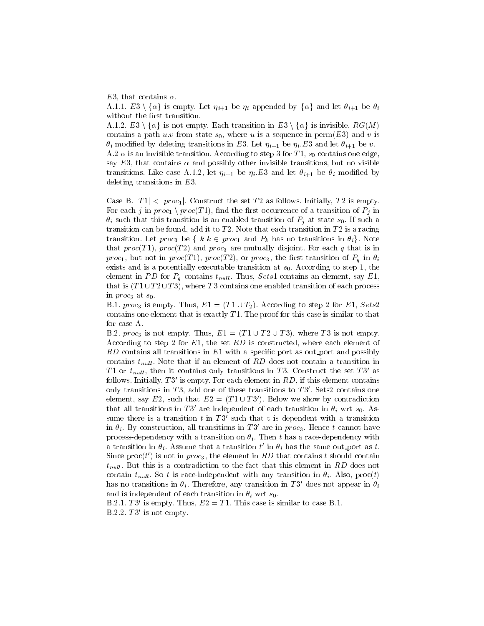E3, that contains  $\alpha$ .

A.1.1. E3  $\setminus \{\alpha\}$  is empty. Let  $\eta_{i+1}$  be  $\eta_i$  appended by  $\{\alpha\}$  and let  $\theta_{i+1}$  be  $\theta_i$ without the first transition.

A.1.2.  $E3 \setminus \{\alpha\}$  is not empty. Each transition in  $E3 \setminus \{\alpha\}$  is invisible.  $RG(M)$ contains a path u.v from state  $s_0$ , where u is a sequence in perm(E3) and v is  $\theta_i$  modified by deleting transitions in E3. Let  $\eta_{i+1}$  be  $\eta_i$ . E3 and let  $\theta_{i+1}$  be v. contains a path u.v from state  $s_0$ , where u is a sequence in perm(E3) and v is A.2 Is an invisible transition. According to step 3 for T 1, so contains one edge, say E3, that contains  $\alpha$  and possibly other invisible transitions, but no visible transitions. Like case are in the internal by internal by items  $\mathcal{L}_{\mathcal{S}}$  and let  $\mathcal{L}_{\mathcal{S}}$ deleting transitions in E3.

Case B.  $|T1| < |proc_1|$ . Construct the set T2 as follows. Initially, T2 is empty.  $\mathcal{F}$  in process of a transition of a transition of a transition of  $\mathcal{F}$ if such that the transition is an enabled transition of Pinesers is such at some solution so  $\mathbf{0}$ . If such a state so transition can be found, add it to  $T2$ . Note that each transition in  $T2$  is a racing transition. Let  $P$  be f k ii  $\mathbb{R}^n$  ,  $\mathbb{R}^n$  be f k has no  $\mathbb{R}^n$  and  $\mathbb{R}^n$  is in ig. Note that  $\mathbb{R}^n$ that proc(T 1), proc(T 2) and proc3 are mutually disjoint. For each qthat is in  $p$  , and in the case  $p$  , and  $p$  is the process to  $p$  in its transition of  $p$  in in its  $p$  in in its  $p$  is a set of  $p$  in its  $p$  is a set of  $p$  in its  $p$  is a set of  $p$  is a set of  $p$  is a set of  $p$  is a set exists and is a potentially executable transition at  $s_0$ . According to step 1, the element in Poussell . Thus, Setsion and Police and Police and Police and Police and Police and Police and Poli that is (T 1 [ <sup>T</sup> <sup>2</sup> [ <sup>T</sup> 3), where <sup>T</sup> 3 contains one enabled transition of each process  $\cdots$  processes at social processes and  $\cdots$ 

 $\mathbb{P}^{1, \mathbf{r}}$  is equal to step  $\mathcal{F}^{1, \mathbf{r}}$  is equal to step  $\mathcal{F}^{2, \mathbf{r}}$ . And  $\mathcal{F}^{2, \mathbf{r}}$ contains one element that is exactly  $T1$ . The proof for this case is similar to that for case A.

 $\mathcal{L} = \{ \mathbf{r}: \mathbf{r}: \mathbf{r}: \mathbf{r}: \mathbf{r}: \mathbf{r}: \mathbf{r}: \mathbf{r}: \mathbf{r}: \mathbf{r}: \mathbf{r}: \mathbf{r}: \mathbf{r}: \mathbf{r}: \mathbf{r}: \mathbf{r}: \mathbf{r}: \mathbf{r}: \mathbf{r}: \mathbf{r}: \mathbf{r}: \mathbf{r}: \mathbf{r}: \mathbf{r}: \mathbf{r}: \mathbf{r}: \mathbf{r}: \mathbf{r}: \mathbf{r}: \mathbf{r}: \mathbf{r}: \mathbf{r}: \mathbf{r}: \mathbf{r}: \mathbf{r}: \$ According to step 2 for  $E1$ , the set  $RD$  is constructed, where each element of  $RD$  contains all transitions in  $E1$  with a specific port as out port and possibly  $\alpha$  . Note that if an element of  $\alpha$  does not contain a transition in the  $\alpha$  transition in the  $\alpha$ I 1 or  $t_{null}$ , then it contains only transitions in T<sub>2</sub>. Construct the set T<sub>2</sub> as follows. Initially,  $T3'$  is empty. For each element in  $RD$ , if this element contains only transitions in T3, add one of these transitions to T3'. Sets2 contains one element, say E2, such that  $E2=(T1\cup T3')$ . Below we show by contradiction that all transitions in  $I$  3 are independent of each transition in  $\sigma_i$  wrt  $s_0$ . Assume there is a transition t in  $T3'$  such that t is dependent with a transition in  $\sigma_i$ . By construction, all transitions in T 30 are in  $\mathit{proc}_3$ . Hence t cannot have process-dependency with a transition on i . Then <sup>t</sup> has a race-dependency with a transition in  $\sigma_i$ . Assume that a transition t- in  $\sigma_i$  has the same out port as t.  $S$ ince  $p$ roc $(v)$  is not in  $p_{U}$ oc $3$ , the element in  $I(U)$  that contains  $v$  should contain  $t$ htis is a contradiction to the fact that the fact that the fact that the fact that the fact that the fact that the fact that the fact that the fact that the fact that the fact that the fact that the fact that the fact contain thus . So t is race-independent with any transition in it . Also, procedure in independent  $\{ \cdot \}$ has no transitions in  $\sigma_i$ . Therefore, any transition in T 3 does not appear in  $\sigma_i$ and is independent of the solution in independent of  $\mu$  and  $\mu$  .

B.2.1. T3' is empty. Thus,  $E2 = T1$ . This case is similar to case B.1. B.2.2.  $T3'$  is not empty.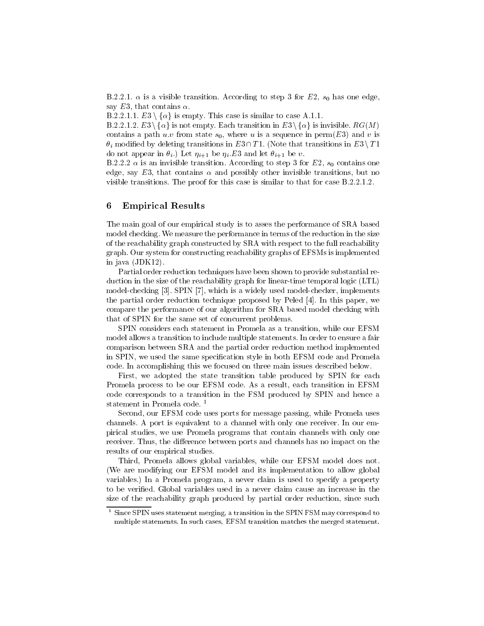$\mathbb{R}$ .2.2.1. Is a visible transition. According to step 3 for E2, s0 for each edge, say E3, that contains  $\alpha$ .

B.2.2.1.1.  $E3 \setminus \{\alpha\}$  is empty. This case is similar to case A.1.1.

B.2.2.1.2.  $E3 \setminus \{\alpha\}$  is not empty. Each transition in  $E3 \setminus \{\alpha\}$  is invisible.  $RG(M)$ contains a path u.v from state  $s_0$ , where u is a sequence in perm(E3) and v is  $\theta_i$  modified by deleting transitions in E3  $\cap$  T1. (Note that transitions in E3  $\setminus$  T1 contains a path u:v from state solution in permetted in permetted in permetted in permetted in permetted in per is the dimensional distribution of the dimensions in E3  $\mu$  1. (Note that the dimensional in E3  $\mu$  T 1. do not appear in its in its interest in its index  $\alpha$  and let  $\alpha$ 

 $\mathbb{R}^2$ .2.2.2.2.2.2 is an invisible transition. According to step 3 for E2, s0 contains one. edge, say E3, that contains  $\alpha$  and possibly other invisible transitions, but no visible transitions. The proof for this case is similar to that for case B.2.2.1.2.

#### 6 6 Empirical Results

The main goal of our empirical study is to asses the performance of SRA based model checking. We measure the performance in terms of the reduction in the size of the reachability graph constructed by SRA with respect to the full reachability graph. Our system for constructing reachability graphs of EFSMs is implemented in java (JDK12).

Partial order reduction techniques have been shown to provide substantial reduction in the size of the reachability graph for linear-time temporal logic (LTL) model-checking [3]. SPIN [7], which is a widely used model-checker, implements the partial order reduction technique proposed by Peled [4]. In this paper, we compare the performance of our algorithm for SRA based model checking with that of SPIN for the same set of concurrent problems.

SPIN considers each statement in Promela as a transition, while our EFSM model allows a transition to include multiple statements. In order to ensure a fair comparison between SRA and the partial order reduction method implemented in SPIN, we used the same specication style in both EFSM code and Promela code. In accomplishing this we focused on three main issues described below.

First, we adopted the state transition table produced by SPIN for each Promela process to be our EFSM code. As a result, each transition in EFSM code corresponds to a transition in the FSM produced by SPIN and hence a statement in Promela code. <sup>1</sup>

Second, our EFSM code uses ports for message passing, while Promela uses channels. A port is equivalent to a channel with only one receiver. In our empirical studies, we use Promela programs that contain channels with only one receiver. Thus, the difference between ports and channels has no impact on the results of our empirical studies.

Third, Promela allows global variables, while our EFSM model does not. (We are modifying our EFSM model and its implementation to allow global variables.) In a Promela program, a never claim is used to specify a property to be veried. Global variables used in a never claim cause an increase in the size of the reachability graph produced by partial order reduction, since such

<sup>1</sup> Since SPIN uses statement merging, a transition in the SPIN FSM may correspond to multiple statements. In such cases, EFSM transition matches the merged statement.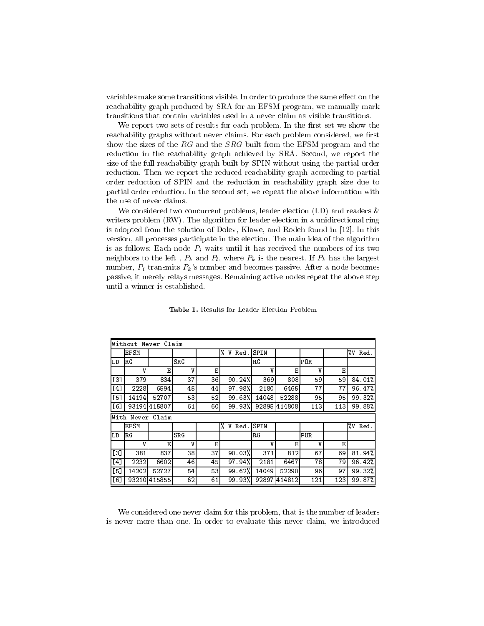variables make some transitions visible. In order to produce the same effect on the reachability graph produced by SRA for an EFSM program, we manually mark transitions that contain variables used in a never claim as visible transitions.

We report two sets of results for each problem. In the first set we show the reachability graphs without never claims. For each problem considered, we first show the sizes of the RG and the SRG built from the EFSM program and the reduction in the reachability graph achieved by SRA. Second, we report the size of the full reachability graph built by SPIN without using the partial order reduction. Then we report the reduced reachability graph according to partial order reduction of SPIN and the reduction in reachability graph size due to partial order reduction. In the second set, we repeat the above information with the use of never claims.

We considered two concurrent problems, leader election (LD) and readers & writers problem (RW). The algorithm for leader election in a unidirectional ring is adopted from the solution of Dolev, Klawe, and Rodeh found in [12]. In this version, all processes participate in the election. The main idea of the algorithm is as follows: Each node  $\mathbb{R}$  was received the numbers of its two its two its two its two its two its two its two its two its two its two its two its two its two its two its two its two its two its two its two its two neighbors to the left , Pk and Pl , where Pk is the largest is the Pk is the largest. If  $P$ number,  $P_i$  transmits  $P_k$ 's number and becomes passive. After a node becomes passive, it merely relays messages. Remaining active nodes repeat the above step until a winner is established.

|     | Without Never Claim |              |     |    |     |               |             |              |            |     |         |
|-----|---------------------|--------------|-----|----|-----|---------------|-------------|--------------|------------|-----|---------|
|     | EFSM                |              |     |    |     | % V Red. SPIN |             |              |            |     | %V Red. |
| LD  | R G                 |              | SRG |    |     |               | R G         |              | <b>POR</b> |     |         |
|     | V                   | Е            | V   | E  |     |               | V           | Е            | V          | Е   |         |
| [3] | 379                 | 834          | 37  | 36 |     | 90.24%        | 369         | 808          | 59         | 59  | 84.01%  |
| [4] | 2228                | 6594         | 45  | 44 |     | 97.98%        | 2180        | 6465         | 77         | 77  | 96.47%  |
| [5] | 14194               | 52707        | 53  | 52 |     | 99.63%        | 14048       | 52288        | 95         | 95  | 99.32%  |
| [6] |                     | 93194 415807 | 61  | 60 |     | 99.93%        |             | 92895 414808 | 113        | 113 | 99.88%  |
|     | With Never Claim    |              |     |    |     |               |             |              |            |     |         |
|     | <b>EFSM</b>         |              |     |    | % V | Red.          | <b>SPIN</b> |              |            |     | %V Red. |
| LD  | R G                 |              | SRG |    |     |               | R G         |              | POR.       |     |         |
|     | V                   | Е            | V   | E  |     |               | V           | Е            | V          | E   |         |
| [3] | 381                 | 837          | 38  | 37 |     | 90.03%        | 371         | 812          | 67         | 69  | 81.94%  |
| [4] | 2232                | 6602         | 46  | 45 |     | 97.94%        | 2181        | 6467         | 78         | 79  | 96.42%  |
| [5] | 14202               | 52727        | 54  | 53 |     | 99.62%        | 14049       | 52290        | 96         | 97  | 99.32%  |
|     | 93210               | 415855       | 62  | 61 |     | 99.93%        | 92897       | 414812       | 121        | 123 | 99.87%  |

Table 1. Results for Leader Election Problem

We considered one never claim for this problem, that is the number of leaders is never more than one. In order to evaluate this never claim, we introduced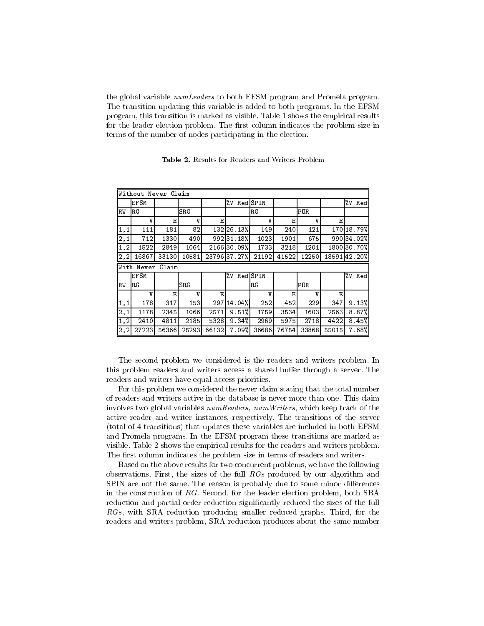the global variable *numLeaders* to both EFSM program and Promela program. The transition updating this variable is added to both programs. In the EFSM program, this transition is marked as visible. Table 1 shows the empirical results for the leader election problem. The first column indicates the problem size in terms of the number of nodes participating in the election.

|             | Without Never Claim |       |       |              |    |            |                    |       |            |              |            |
|-------------|---------------------|-------|-------|--------------|----|------------|--------------------|-------|------------|--------------|------------|
|             | <b>EFSM</b>         |       |       |              |    |            | <b>%V RedISPIN</b> |       |            |              | %V Red     |
| RW          | R G                 |       | SRG   |              |    |            | RG                 |       | <b>POR</b> |              |            |
|             | V                   | E     | V     | Е            |    |            | V                  | E     | V          | Е            |            |
| 1,1         | 111                 | 181   | 82    |              |    | 132 26.13% | 149                | 240   | 121        |              | 170 18.79% |
| 2,1         | 712                 | 1330  | 490   |              |    | 992 31.18% | 1023               | 1901  | 675        |              | 990 34.02% |
|             | 1522                | 2849  | 1064  | 2166 30.09%  |    |            | 1733               | 3218  | 1201       | 1800 30.70%  |            |
| 1,2         |                     |       |       |              |    |            |                    |       |            |              |            |
| 2,2         | 16867               | 33130 | 10581 | 23796 37.27% |    |            | 21192              | 41522 | 12250      | 18591 42.20% |            |
|             | With Never Claim    |       |       |              |    |            |                    |       |            |              |            |
|             | <b>EFSM</b>         |       |       |              | %V |            | RedSPIN            |       |            |              | %V Red     |
| RW          | R G                 |       | SRG   |              |    |            | RG                 |       | <b>POR</b> |              |            |
|             | V                   | E     | V     | E            |    |            | V                  | Е     | V          | Е            |            |
| 1,1         | 178                 | 317   | 153   |              |    | 29714.04%  | 252                | 452   | 229        | 347          | 9.13%      |
|             | 1178                | 2345  | 1066  | 2571         |    | 9.51%      | 1759               | 3534  | 1603       | 2563         | 8.87%      |
| 2,1 <br>1,2 | 2410                | 4811  | 2185  | 5328         |    | 9.34%      | 2969               | 5975  | 2718       | 4422         | 8.45%      |

Table 2. Results for Readers and Writers Problem

The second problem we considered is the readers and writers problem. In this problem readers and writers access a shared buffer through a server. The readers and writers have equal access priorities.

For this problem we considered the never claim stating that the total number of readers and writers active in the database is never more than one. This claim involves two global variables numReaders, numWriters, which keep track of the active reader and writer instances, respectively. The transitions of the server (total of 4 transitions) that updates these variables are included in both EFSM and Promela programs. In the EFSM program these transitions are marked as visible. Table 2 shows the empirical results for the readers and writers problem. The first column indicates the problem size in terms of readers and writers.

Based on the above results for two concurrent problems, we have the following observations. First, the sizes of the full  $RGs$  produced by our algorithm and SPIN are not the same. The reason is probably due to some minor differences in the construction of RG. Second, for the leader election problem, both SRA reduction and partial order reduction signicantly reduced the sizes of the full RGs, with SRA reduction producing smaller reduced graphs. Third, for the readers and writers problem, SRA reduction produces about the same number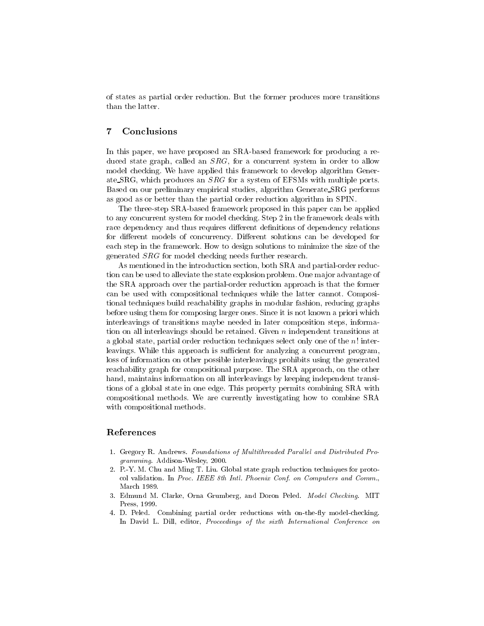of states as partial order reduction. But the former produces more transitions than the latter.

#### $\overline{7}$ Conclusions

In this paper, we have proposed an SRA-based framework for producing a reduced state graph, called an SRG, for a concurrent system in order to allow model checking. We have applied this framework to develop algorithm Generate SRG, which produces an SRG for a system of EFSMs with multiple ports. Based on our preliminary empirical studies, algorithm Generate SRG performs as good as or better than the partial order reduction algorithm in SPIN.

The three-step SRA-based framework proposed in this paper can be applied to any concurrent system for model checking. Step 2 in the framework deals with race dependency and thus requires different definitions of dependency relations for different models of concurrency. Different solutions can be developed for each step in the framework. How to design solutions to minimize the size of the generated SRG for model checking needs further research.

As mentioned in the introduction section, both SRA and partial-order reduction can be used to alleviate the state explosion problem. One ma jor advantage of the SRA approach over the partial-order reduction approach is that the former can be used with compositional techniques while the latter cannot. Compositional techniques build reachability graphs in modular fashion, reducing graphs before using them for composing larger ones. Since it is not known a priori which interleavings of transitions maybe needed in later composition steps, information on all interleavings should be retained. Given  $n$  independent transitions at a global state, partial order reduction techniques select only one of the  $n!$  interleavings. While this approach is sufficient for analyzing a concurrent program, loss of information on other possible interleavings prohibits using the generated reachability graph for compositional purpose. The SRA approach, on the other hand, maintains information on all interleavings by keeping independent transitions of a global state in one edge. This property permits combining SRA with compositional methods. We are currently investigating how to combine SRA with compositional methods.

- 1. Gregory R. Andrews. Foundations of Multithreaded Parallel and Distributed Programming. Addison-Wesley, 2000.
- 2. P.-Y. M. Chu and Ming T. Liu. Global state graph reduction techniques for protocol validation. In Proc. IEEE 8th Intl. Phoenix Conf. on Computers and Comm., March 1989.
- 3. Edmund M. Clarke, Orna Grumberg, and Doron Peled. Model Checking. MIT Press, 1999.
- 4. D. Peled. Combining partial order reductions with on-the-fly model-checking. In David L. Dill, editor, Proceedings of the sixth International Conference on